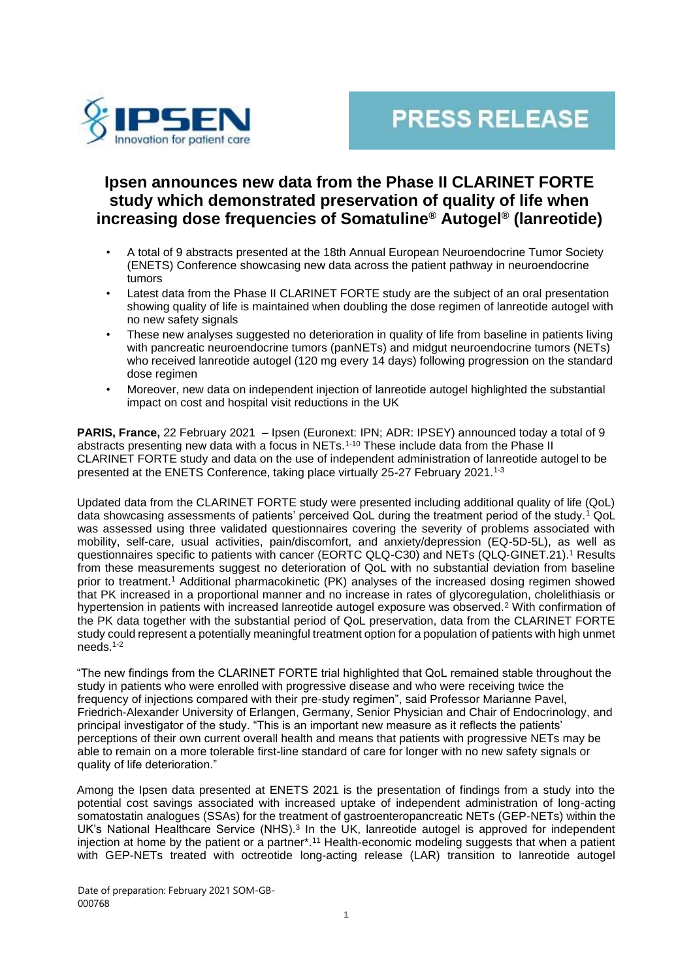

# **Ipsen announces new data from the Phase II CLARINET FORTE study which demonstrated preservation of quality of life when increasing dose frequencies of Somatuline® Autogel® (lanreotide)**

- A total of 9 abstracts presented at the 18th Annual European Neuroendocrine Tumor Society (ENETS) Conference showcasing new data across the patient pathway in neuroendocrine tumors
- Latest data from the Phase II CLARINET FORTE study are the subject of an oral presentation showing quality of life is maintained when doubling the dose regimen of lanreotide autogel with no new safety signals
- These new analyses suggested no deterioration in quality of life from baseline in patients living with pancreatic neuroendocrine tumors (panNETs) and midgut neuroendocrine tumors (NETs) who received lanreotide autogel (120 mg every 14 days) following progression on the standard dose regimen
- Moreover, new data on independent injection of lanreotide autogel highlighted the substantial impact on cost and hospital visit reductions in the UK

**PARIS, France,** 22 February 2021 – Ipsen (Euronext: IPN; ADR: IPSEY) announced today a total of 9 abstracts presenting new data with a focus in NETs.<sup>1-10</sup> These include data from the Phase II CLARINET FORTE study and data on the use of independent administration of lanreotide autogel to be presented at the ENETS Conference, taking place virtually 25-27 February 2021.1-3

Updated data from the CLARINET FORTE study were presented including additional quality of life (QoL) data showcasing assessments of patients' perceived QoL during the treatment period of the study.<sup>1</sup> QoL was assessed using three validated questionnaires covering the severity of problems associated with mobility, self-care, usual activities, pain/discomfort, and anxiety/depression (EQ-5D-5L), as well as questionnaires specific to patients with cancer (EORTC QLQ-C30) and NETs (QLQ-GINET.21).<sup>1</sup> Results from these measurements suggest no deterioration of QoL with no substantial deviation from baseline prior to treatment.<sup>1</sup> Additional pharmacokinetic (PK) analyses of the increased dosing regimen showed that PK increased in a proportional manner and no increase in rates of glycoregulation, cholelithiasis or hypertension in patients with increased lanreotide autogel exposure was observed.<sup>2</sup> With confirmation of the PK data together with the substantial period of QoL preservation, data from the CLARINET FORTE study could represent a potentially meaningful treatment option for a population of patients with high unmet needs.1-2

"The new findings from the CLARINET FORTE trial highlighted that QoL remained stable throughout the study in patients who were enrolled with progressive disease and who were receiving twice the frequency of injections compared with their pre-study regimen", said Professor Marianne Pavel, Friedrich-Alexander University of Erlangen, Germany, Senior Physician and Chair of Endocrinology, and principal investigator of the study. "This is an important new measure as it reflects the patients' perceptions of their own current overall health and means that patients with progressive NETs may be able to remain on a more tolerable first-line standard of care for longer with no new safety signals or quality of life deterioration."

Among the Ipsen data presented at ENETS 2021 is the presentation of findings from a study into the potential cost savings associated with increased uptake of independent administration of long-acting somatostatin analogues (SSAs) for the treatment of gastroenteropancreatic NETs (GEP-NETs) within the UK's National Healthcare Service (NHS). $3$  In the UK, lanreotide autogel is approved for independent injection at home by the patient or a partner\*.<sup>11</sup> Health-economic modeling suggests that when a patient with GEP-NETs treated with octreotide long-acting release (LAR) transition to lanreotide autogel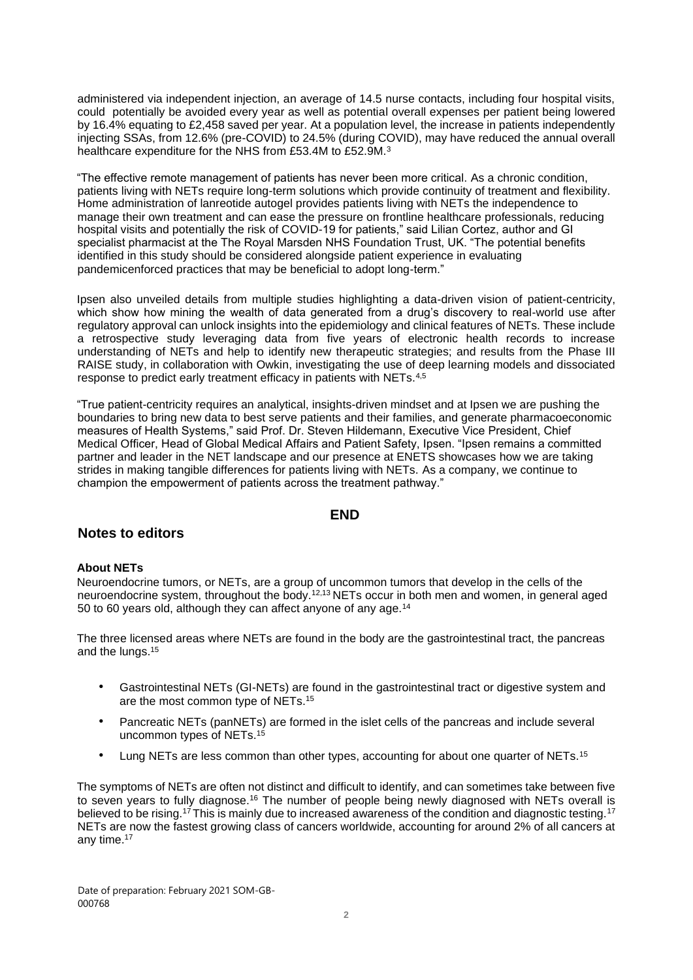administered via independent injection, an average of 14.5 nurse contacts, including four hospital visits, could potentially be avoided every year as well as potential overall expenses per patient being lowered by 16.4% equating to £2,458 saved per year. At a population level, the increase in patients independently injecting SSAs, from 12.6% (pre-COVID) to 24.5% (during COVID), may have reduced the annual overall healthcare expenditure for the NHS from £53.4M to £52.9M.<sup>3</sup>

"The effective remote management of patients has never been more critical. As a chronic condition, patients living with NETs require long-term solutions which provide continuity of treatment and flexibility. Home administration of lanreotide autogel provides patients living with NETs the independence to manage their own treatment and can ease the pressure on frontline healthcare professionals, reducing hospital visits and potentially the risk of COVID-19 for patients," said Lilian Cortez, author and GI specialist pharmacist at the The Royal Marsden NHS Foundation Trust, UK. "The potential benefits identified in this study should be considered alongside patient experience in evaluating pandemicenforced practices that may be beneficial to adopt long-term."

Ipsen also unveiled details from multiple studies highlighting a data-driven vision of patient-centricity, which show how mining the wealth of data generated from a drug's discovery to real-world use after regulatory approval can unlock insights into the epidemiology and clinical features of NETs. These include a retrospective study leveraging data from five years of electronic health records to increase understanding of NETs and help to identify new therapeutic strategies; and results from the Phase III RAISE study, in collaboration with Owkin, investigating the use of deep learning models and dissociated response to predict early treatment efficacy in patients with NETs.4,5

"True patient-centricity requires an analytical, insights-driven mindset and at Ipsen we are pushing the boundaries to bring new data to best serve patients and their families, and generate pharmacoeconomic measures of Health Systems," said Prof. Dr. Steven Hildemann, Executive Vice President, Chief Medical Officer, Head of Global Medical Affairs and Patient Safety, Ipsen. "Ipsen remains a committed partner and leader in the NET landscape and our presence at ENETS showcases how we are taking strides in making tangible differences for patients living with NETs. As a company, we continue to champion the empowerment of patients across the treatment pathway."

## **END**

## **Notes to editors**

#### **About NETs**

Neuroendocrine tumors, or NETs, are a group of uncommon tumors that develop in the cells of the neuroendocrine system, throughout the body.12,13 NETs occur in both men and women, in general aged 50 to 60 years old, although they can affect anyone of any age.<sup>14</sup>

The three licensed areas where NETs are found in the body are the gastrointestinal tract, the pancreas and the lungs.<sup>15</sup>

- Gastrointestinal NETs (GI-NETs) are found in the gastrointestinal tract or digestive system and are the most common type of NETs.<sup>15</sup>
- Pancreatic NETs (panNETs) are formed in the islet cells of the pancreas and include several uncommon types of NETs.<sup>15</sup>
- Lung NETs are less common than other types, accounting for about one quarter of NETs.<sup>15</sup>

The symptoms of NETs are often not distinct and difficult to identify, and can sometimes take between five to seven years to fully diagnose.<sup>16</sup> The number of people being newly diagnosed with NETs overall is believed to be rising.<sup>17</sup> This is mainly due to increased awareness of the condition and diagnostic testing.<sup>17</sup> NETs are now the fastest growing class of cancers worldwide, accounting for around 2% of all cancers at any time.<sup>17</sup>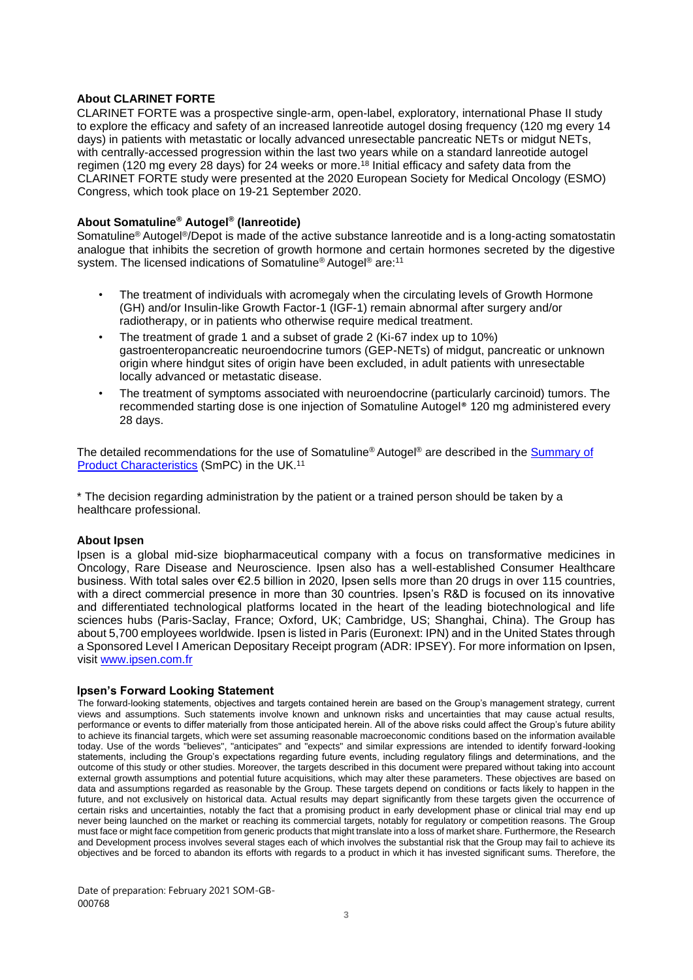### **About CLARINET FORTE**

CLARINET FORTE was a prospective single-arm, open-label, exploratory, international Phase II study to explore the efficacy and safety of an increased lanreotide autogel dosing frequency (120 mg every 14 days) in patients with metastatic or locally advanced unresectable pancreatic NETs or midgut NETs, with centrally-accessed progression within the last two years while on a standard lanreotide autogel regimen (120 mg every 28 days) for 24 weeks or more.<sup>18</sup> Initial efficacy and safety data from the CLARINET FORTE study were presented at the 2020 European Society for Medical Oncology (ESMO) Congress, which took place on 19-21 September 2020.

### **About Somatuline® Autogel® (lanreotide)**

Somatuline® Autogel®/Depot is made of the active substance lanreotide and is a long-acting somatostatin analogue that inhibits the secretion of growth hormone and certain hormones secreted by the digestive system. The licensed indications of Somatuline<sup>®</sup> Autogel<sup>®</sup> are:<sup>11</sup>

- The treatment of individuals with acromegaly when the circulating levels of Growth Hormone (GH) and/or Insulin-like Growth Factor-1 (IGF-1) remain abnormal after surgery and/or radiotherapy, or in patients who otherwise require medical treatment.
- The treatment of grade 1 and a subset of grade 2 (Ki-67 index up to 10%) gastroenteropancreatic neuroendocrine tumors (GEP-NETs) of midgut, pancreatic or unknown origin where hindgut sites of origin have been excluded, in adult patients with unresectable locally advanced or metastatic disease.
- The treatment of symptoms associated with neuroendocrine (particularly carcinoid) tumors. The recommended starting dose is one injection of Somatuline Autogel® 120 mg administered every 28 days.

The detailed recommendations for the use of Somatuline® Autogel® are described in the [Summary of](https://www.medicines.org.uk/emc/product/4808/smpc) [Product Characteristics](https://www.medicines.org.uk/emc/product/4808/smpc) [\(](https://www.medicines.org.uk/emc/product/4808/smpc)SmPC) in the UK.<sup>11</sup>

\* The decision regarding administration by the patient or a trained person should be taken by a healthcare professional.

#### **About Ipsen**

Ipsen is a global mid-size biopharmaceutical company with a focus on transformative medicines in Oncology, Rare Disease and Neuroscience. Ipsen also has a well-established Consumer Healthcare business. With total sales over €2.5 billion in 2020, Ipsen sells more than 20 drugs in over 115 countries, with a direct commercial presence in more than 30 countries. Ipsen's R&D is focused on its innovative and differentiated technological platforms located in the heart of the leading biotechnological and life sciences hubs (Paris-Saclay, France; Oxford, UK; Cambridge, US; Shanghai, China). The Group has about 5,700 employees worldwide. Ipsen is listed in Paris (Euronext: IPN) and in the United States through a Sponsored Level I American Depositary Receipt program (ADR: IPSEY). For more information on Ipsen, visit [www.ipsen.com.fr](http://www.ipsen.com.fr/)

#### **Ipsen's Forward Looking Statement**

The forward-looking statements, objectives and targets contained herein are based on the Group's management strategy, current views and assumptions. Such statements involve known and unknown risks and uncertainties that may cause actual results, performance or events to differ materially from those anticipated herein. All of the above risks could affect the Group's future ability to achieve its financial targets, which were set assuming reasonable macroeconomic conditions based on the information available today. Use of the words "believes", "anticipates" and "expects" and similar expressions are intended to identify forward-looking statements, including the Group's expectations regarding future events, including regulatory filings and determinations, and the outcome of this study or other studies. Moreover, the targets described in this document were prepared without taking into account external growth assumptions and potential future acquisitions, which may alter these parameters. These objectives are based on data and assumptions regarded as reasonable by the Group. These targets depend on conditions or facts likely to happen in the future, and not exclusively on historical data. Actual results may depart significantly from these targets given the occurrence of certain risks and uncertainties, notably the fact that a promising product in early development phase or clinical trial may end up never being launched on the market or reaching its commercial targets, notably for regulatory or competition reasons. The Group must face or might face competition from generic products that might translate into a loss of market share. Furthermore, the Research and Development process involves several stages each of which involves the substantial risk that the Group may fail to achieve its objectives and be forced to abandon its efforts with regards to a product in which it has invested significant sums. Therefore, the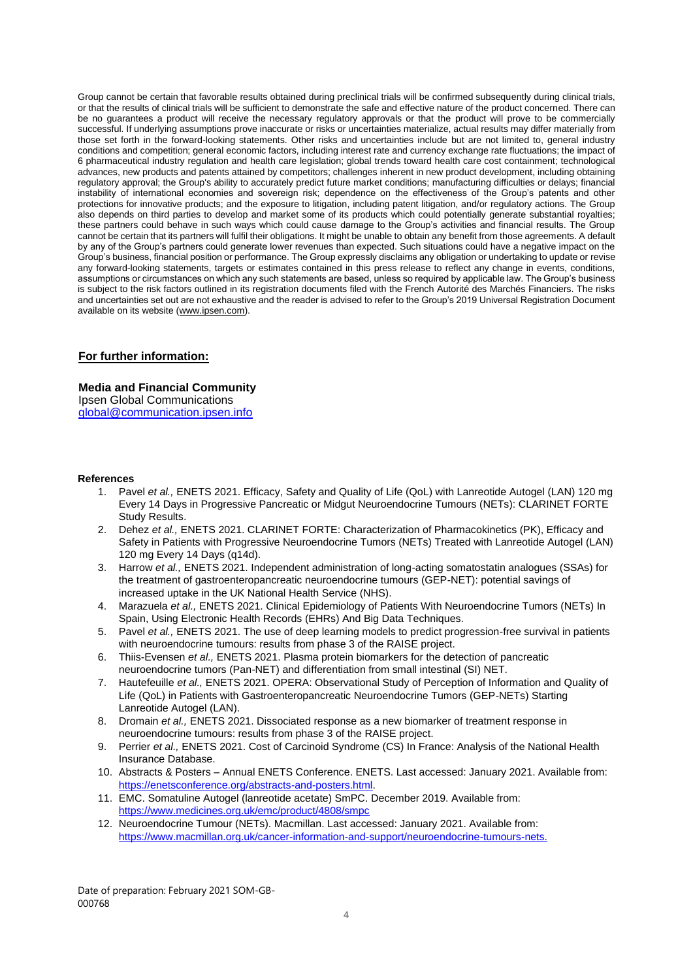Group cannot be certain that favorable results obtained during preclinical trials will be confirmed subsequently during clinical trials, or that the results of clinical trials will be sufficient to demonstrate the safe and effective nature of the product concerned. There can be no guarantees a product will receive the necessary regulatory approvals or that the product will prove to be commercially successful. If underlying assumptions prove inaccurate or risks or uncertainties materialize, actual results may differ materially from those set forth in the forward-looking statements. Other risks and uncertainties include but are not limited to, general industry conditions and competition; general economic factors, including interest rate and currency exchange rate fluctuations; the impact of 6 pharmaceutical industry regulation and health care legislation; global trends toward health care cost containment; technological advances, new products and patents attained by competitors; challenges inherent in new product development, including obtaining regulatory approval; the Group's ability to accurately predict future market conditions; manufacturing difficulties or delays; financial instability of international economies and sovereign risk; dependence on the effectiveness of the Group's patents and other protections for innovative products; and the exposure to litigation, including patent litigation, and/or regulatory actions. The Group also depends on third parties to develop and market some of its products which could potentially generate substantial royalties; these partners could behave in such ways which could cause damage to the Group's activities and financial results. The Group cannot be certain that its partners will fulfil their obligations. It might be unable to obtain any benefit from those agreements. A default by any of the Group's partners could generate lower revenues than expected. Such situations could have a negative impact on the Group's business, financial position or performance. The Group expressly disclaims any obligation or undertaking to update or revise any forward-looking statements, targets or estimates contained in this press release to reflect any change in events, conditions, assumptions or circumstances on which any such statements are based, unless so required by applicable law. The Group's business is subject to the risk factors outlined in its registration documents filed with the French Autorité des Marchés Financiers. The risks and uncertainties set out are not exhaustive and the reader is advised to refer to the Group's 2019 Universal Registration Document available on its website [\(www.ipsen.com\).](http://www.ipsen.com/)

#### **For further information:**

**Media and Financial Community** Ipsen Global Communications global@communication.ipsen.info

#### **References**

- 1. Pavel *et al.,* ENETS 2021. Efficacy, Safety and Quality of Life (QoL) with Lanreotide Autogel (LAN) 120 mg Every 14 Days in Progressive Pancreatic or Midgut Neuroendocrine Tumours (NETs): CLARINET FORTE Study Results.
- 2. Dehez *et al.,* ENETS 2021. CLARINET FORTE: Characterization of Pharmacokinetics (PK), Efficacy and Safety in Patients with Progressive Neuroendocrine Tumors (NETs) Treated with Lanreotide Autogel (LAN) 120 mg Every 14 Days (q14d).
- 3. Harrow *et al.,* ENETS 2021. Independent administration of long-acting somatostatin analogues (SSAs) for the treatment of gastroenteropancreatic neuroendocrine tumours (GEP-NET): potential savings of increased uptake in the UK National Health Service (NHS).
- 4. Marazuela *et al.,* ENETS 2021. Clinical Epidemiology of Patients With Neuroendocrine Tumors (NETs) In Spain, Using Electronic Health Records (EHRs) And Big Data Techniques.
- 5. Pavel *et al.,* ENETS 2021. The use of deep learning models to predict progression-free survival in patients with neuroendocrine tumours: results from phase 3 of the RAISE project.
- 6. Thiis-Evensen *et al.,* ENETS 2021. Plasma protein biomarkers for the detection of pancreatic neuroendocrine tumors (Pan-NET) and differentiation from small intestinal (SI) NET.
- 7. Hautefeuille *et al.,* ENETS 2021. OPERA: Observational Study of Perception of Information and Quality of Life (QoL) in Patients with Gastroenteropancreatic Neuroendocrine Tumors (GEP-NETs) Starting Lanreotide Autogel (LAN).
- 8. Dromain *et al.,* ENETS 2021. Dissociated response as a new biomarker of treatment response in neuroendocrine tumours: results from phase 3 of the RAISE project.
- 9. Perrier *et al.,* ENETS 2021. Cost of Carcinoid Syndrome (CS) In France: Analysis of the National Health Insurance Database.
- 10. Abstracts & Posters Annual ENETS Conference. ENETS. Last accessed: January 2021. Available from: [https://enetsconference.org/abstracts-and-posters.html.](https://enetsconference.org/abstracts-and-posters.html)
- 11. EMC. Somatuline Autogel (lanreotide acetate) SmPC. December 2019. Available from: <https://www.medicines.org.uk/emc/product/4808/smpc>
- 12. Neuroendocrine Tumour (NETs). Macmillan. Last accessed: January 2021. Available from: <https://www.macmillan.org.uk/cancer-information-and-support/neuroendocrine-tumours-nets.>